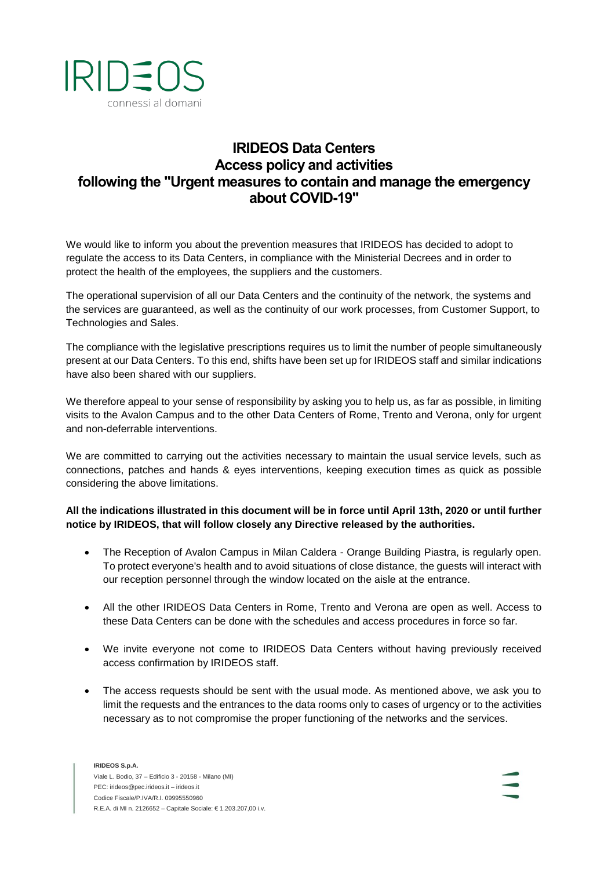

## **IRIDEOS Data Centers Access policy and activities following the "Urgent measures to contain and manage the emergency about COVID-19"**

We would like to inform you about the prevention measures that IRIDEOS has decided to adopt to regulate the access to its Data Centers, in compliance with the Ministerial Decrees and in order to protect the health of the employees, the suppliers and the customers.

The operational supervision of all our Data Centers and the continuity of the network, the systems and the services are guaranteed, as well as the continuity of our work processes, from Customer Support, to Technologies and Sales.

The compliance with the legislative prescriptions requires us to limit the number of people simultaneously present at our Data Centers. To this end, shifts have been set up for IRIDEOS staff and similar indications have also been shared with our suppliers.

We therefore appeal to your sense of responsibility by asking you to help us, as far as possible, in limiting visits to the Avalon Campus and to the other Data Centers of Rome, Trento and Verona, only for urgent and non-deferrable interventions.

We are committed to carrying out the activities necessary to maintain the usual service levels, such as connections, patches and hands & eyes interventions, keeping execution times as quick as possible considering the above limitations.

## **All the indications illustrated in this document will be in force until April 13th, 2020 or until further notice by IRIDEOS, that will follow closely any Directive released by the authorities.**

- The Reception of Avalon Campus in Milan Caldera Orange Building Piastra, is regularly open. To protect everyone's health and to avoid situations of close distance, the guests will interact with our reception personnel through the window located on the aisle at the entrance.
- All the other IRIDEOS Data Centers in Rome, Trento and Verona are open as well. Access to these Data Centers can be done with the schedules and access procedures in force so far.
- We invite everyone not come to IRIDEOS Data Centers without having previously received access confirmation by IRIDEOS staff.
- The access requests should be sent with the usual mode. As mentioned above, we ask you to limit the requests and the entrances to the data rooms only to cases of urgency or to the activities necessary as to not compromise the proper functioning of the networks and the services.

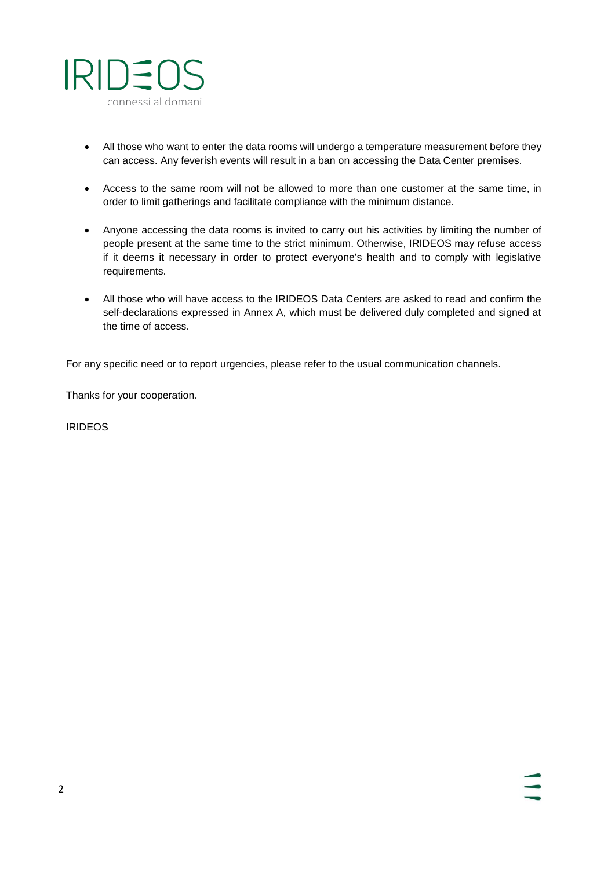

- All those who want to enter the data rooms will undergo a temperature measurement before they can access. Any feverish events will result in a ban on accessing the Data Center premises.
- Access to the same room will not be allowed to more than one customer at the same time, in order to limit gatherings and facilitate compliance with the minimum distance.
- Anyone accessing the data rooms is invited to carry out his activities by limiting the number of people present at the same time to the strict minimum. Otherwise, IRIDEOS may refuse access if it deems it necessary in order to protect everyone's health and to comply with legislative requirements.
- All those who will have access to the IRIDEOS Data Centers are asked to read and confirm the self-declarations expressed in Annex A, which must be delivered duly completed and signed at the time of access.

For any specific need or to report urgencies, please refer to the usual communication channels.

Thanks for your cooperation.

IRIDEOS